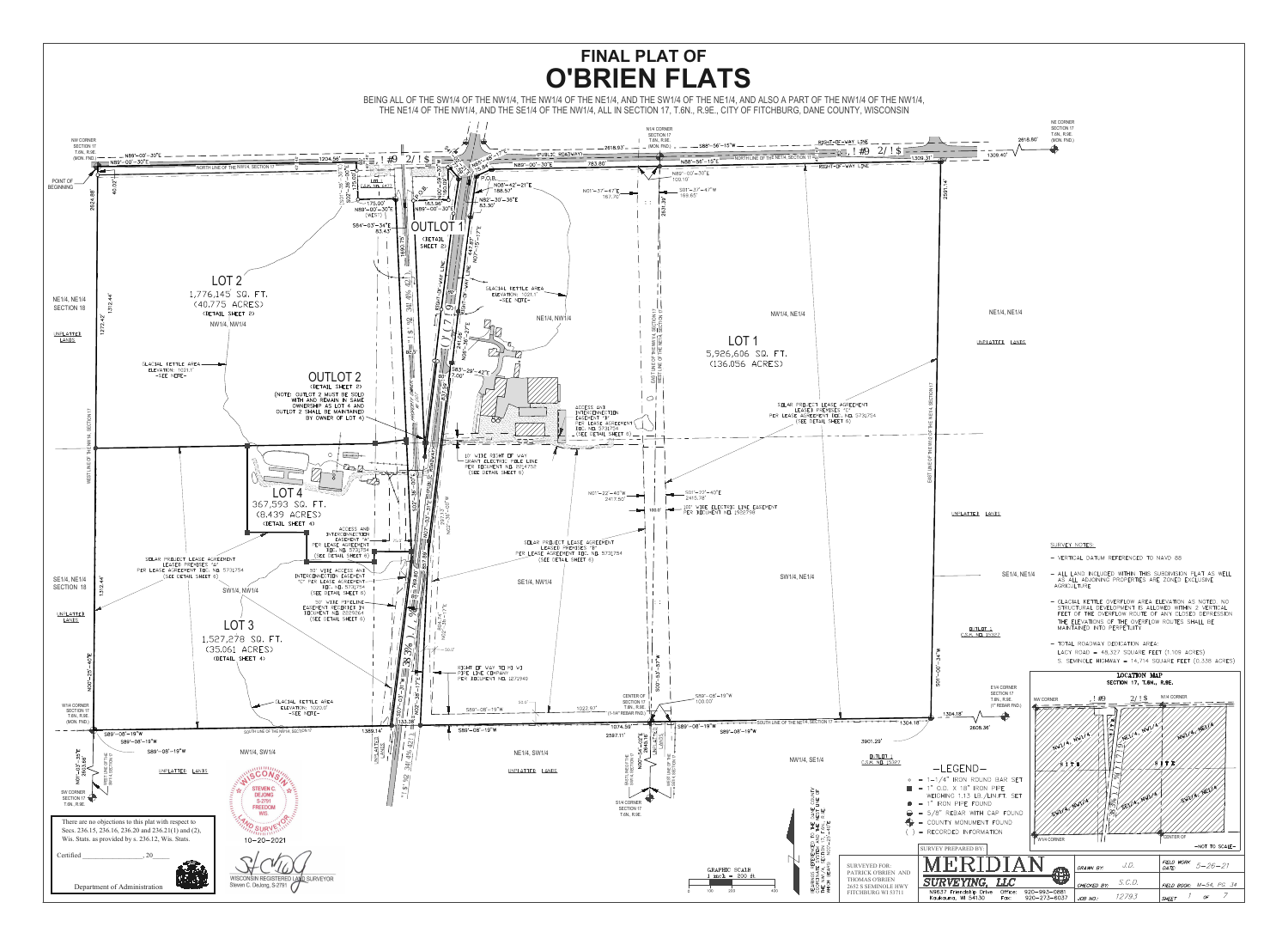

## **FINAL PLAT OF**